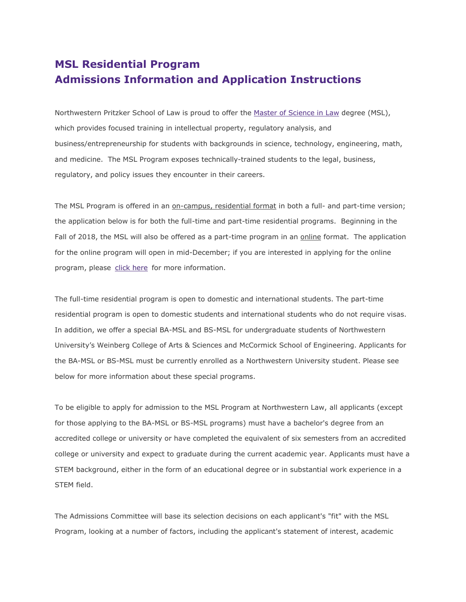# **MSL Residential Program Admissions Information and Application Instructions**

Northwestern Pritzker School of Law is proud to offer the [Master of Science in Law](http://www.law.northwestern.edu/academics/degree-programs/msl/) degree (MSL), which provides focused training in intellectual property, regulatory analysis, and business/entrepreneurship for students with backgrounds in science, technology, engineering, math, and medicine. The MSL Program exposes technically-trained students to the legal, business, regulatory, and policy issues they encounter in their careers.

The MSL Program is offered in an on-campus, residential format in both a full- and part-time version; the application below is for both the full-time and part-time residential programs. Beginning in the Fall of 2018, the MSL will also be offered as a part-time program in an online format. The application for the online program will open in mid-December; if you are interested in applying for the online program, please [click here](https://apply.law.northwestern.edu/register/?id=fc306749-4853-4e41-806b-72a073b104d9) for more information.

The full-time residential program is open to domestic and international students. The part-time residential program is open to domestic students and international students who do not require visas. In addition, we offer a special BA-MSL and BS-MSL for undergraduate students of Northwestern University's Weinberg College of Arts & Sciences and McCormick School of Engineering. Applicants for the BA-MSL or BS-MSL must be currently enrolled as a Northwestern University student. Please see below for more information about these special programs.

To be eligible to apply for admission to the MSL Program at Northwestern Law, all applicants (except for those applying to the BA-MSL or BS-MSL programs) must have a bachelor's degree from an accredited college or university or have completed the equivalent of six semesters from an accredited college or university and expect to graduate during the current academic year. Applicants must have a STEM background, either in the form of an educational degree or in substantial work experience in a STEM field.

The Admissions Committee will base its selection decisions on each applicant's "fit" with the MSL Program, looking at a number of factors, including the applicant's statement of interest, academic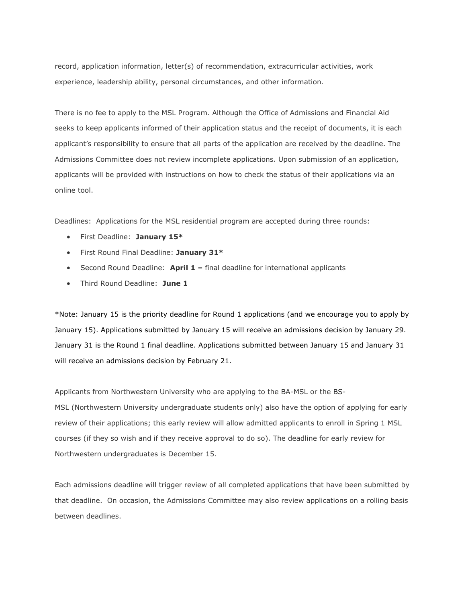record, application information, letter(s) of recommendation, extracurricular activities, work experience, leadership ability, personal circumstances, and other information.

There is no fee to apply to the MSL Program. Although the Office of Admissions and Financial Aid seeks to keep applicants informed of their application status and the receipt of documents, it is each applicant's responsibility to ensure that all parts of the application are received by the deadline. The Admissions Committee does not review incomplete applications. Upon submission of an application, applicants will be provided with instructions on how to check the status of their applications via an online tool.

Deadlines: Applications for the MSL residential program are accepted during three rounds:

- First Deadline: **January 15\***
- First Round Final Deadline: **January 31\***
- Second Round Deadline: **April 1 –** final deadline for international applicants
- Third Round Deadline: **June 1**

\*Note: January 15 is the priority deadline for Round 1 applications (and we encourage you to apply by January 15). Applications submitted by January 15 will receive an admissions decision by January 29. January 31 is the Round 1 final deadline. Applications submitted between January 15 and January 31 will receive an admissions decision by February 21.

Applicants from Northwestern University who are applying to the BA-MSL or the BS-MSL (Northwestern University undergraduate students only) also have the option of applying for early review of their applications; this early review will allow admitted applicants to enroll in Spring 1 MSL courses (if they so wish and if they receive approval to do so). The deadline for early review for Northwestern undergraduates is December 15.

Each admissions deadline will trigger review of all completed applications that have been submitted by that deadline. On occasion, the Admissions Committee may also review applications on a rolling basis between deadlines.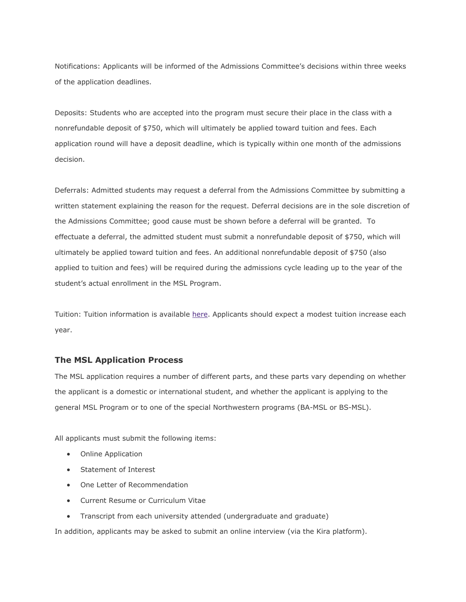Notifications: Applicants will be informed of the Admissions Committee's decisions within three weeks of the application deadlines.

Deposits: Students who are accepted into the program must secure their place in the class with a nonrefundable deposit of \$750, which will ultimately be applied toward tuition and fees. Each application round will have a deposit deadline, which is typically within one month of the admissions decision.

Deferrals: Admitted students may request a deferral from the Admissions Committee by submitting a written statement explaining the reason for the request. Deferral decisions are in the sole discretion of the Admissions Committee; good cause must be shown before a deferral will be granted. To effectuate a deferral, the admitted student must submit a nonrefundable deposit of \$750, which will ultimately be applied toward tuition and fees. An additional nonrefundable deposit of \$750 (also applied to tuition and fees) will be required during the admissions cycle leading up to the year of the student's actual enrollment in the MSL Program.

Tuition: Tuition information is available [here.](http://www.law.northwestern.edu/admissions/tuitionaid/tuition/) Applicants should expect a modest tuition increase each year.

# **The MSL Application Process**

The MSL application requires a number of different parts, and these parts vary depending on whether the applicant is a domestic or international student, and whether the applicant is applying to the general MSL Program or to one of the special Northwestern programs (BA-MSL or BS-MSL).

All applicants must submit the following items:

- Online Application
- Statement of Interest
- One Letter of Recommendation
- Current Resume or Curriculum Vitae
- Transcript from each university attended (undergraduate and graduate)

In addition, applicants may be asked to submit an online interview (via the Kira platform).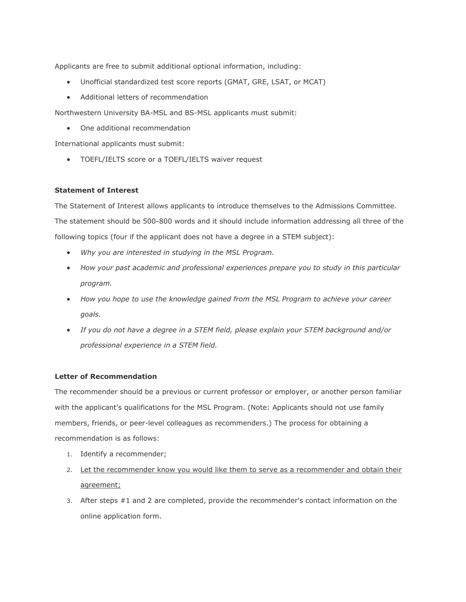Applicants are free to submit additional optional information, including:

- Unofficial standardized test score reports (GMAT, GRE, LSAT, or MCAT)
- Additional letters of recommendation

Northwestern University BA-MSL and BS-MSL applicants must submit:

One additional recommendation

International applicants must submit:

TOEFL/IELTS score or a TOEFL/IELTS waiver request

# **Statement of Interest**

The Statement of Interest allows applicants to introduce themselves to the Admissions Committee. The statement should be 500-800 words and it should include information addressing all three of the following topics (four if the applicant does not have a degree in a STEM subject):

- *Why you are interested in studying in the MSL Program.*
- *How your past academic and professional experiences prepare you to study in this particular program.*
- *How you hope to use the knowledge gained from the MSL Program to achieve your career goals.*
- *If you do not have a degree in a STEM field, please explain your STEM background and/or professional experience in a STEM field.*

# **Letter of Recommendation**

The recommender should be a previous or current professor or employer, or another person familiar with the applicant's qualifications for the MSL Program. (Note: Applicants should not use family members, friends, or peer-level colleagues as recommenders.) The process for obtaining a recommendation is as follows:

- 1. Identify a recommender;
- 2. Let the recommender know you would like them to serve as a recommender and obtain their agreement;
- 3. After steps #1 and 2 are completed, provide the recommender's contact information on the online application form.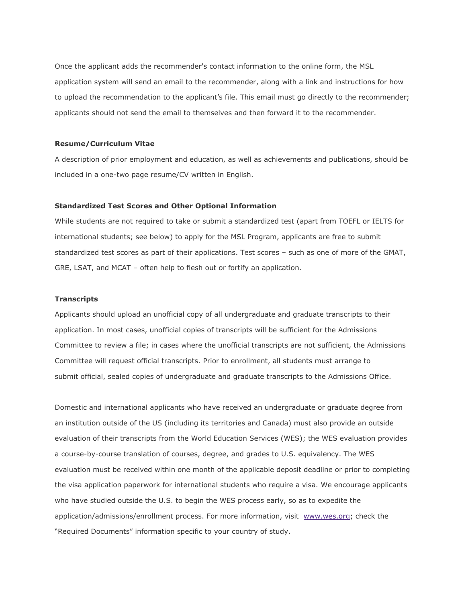Once the applicant adds the recommender's contact information to the online form, the MSL application system will send an email to the recommender, along with a link and instructions for how to upload the recommendation to the applicant's file. This email must go directly to the recommender; applicants should not send the email to themselves and then forward it to the recommender.

#### **Resume/Curriculum Vitae**

A description of prior employment and education, as well as achievements and publications, should be included in a one-two page resume/CV written in English.

#### **Standardized Test Scores and Other Optional Information**

While students are not required to take or submit a standardized test (apart from TOEFL or IELTS for international students; see below) to apply for the MSL Program, applicants are free to submit standardized test scores as part of their applications. Test scores – such as one of more of the GMAT, GRE, LSAT, and MCAT – often help to flesh out or fortify an application.

## **Transcripts**

Applicants should upload an unofficial copy of all undergraduate and graduate transcripts to their application. In most cases, unofficial copies of transcripts will be sufficient for the Admissions Committee to review a file; in cases where the unofficial transcripts are not sufficient, the Admissions Committee will request official transcripts. Prior to enrollment, all students must arrange to submit official, sealed copies of undergraduate and graduate transcripts to the Admissions Office.

Domestic and international applicants who have received an undergraduate or graduate degree from an institution outside of the US (including its territories and Canada) must also provide an outside evaluation of their transcripts from the World Education Services (WES); the WES evaluation provides a course-by-course translation of courses, degree, and grades to U.S. equivalency. The WES evaluation must be received within one month of the applicable deposit deadline or prior to completing the visa application paperwork for international students who require a visa. We encourage applicants who have studied outside the U.S. to begin the WES process early, so as to expedite the application/admissions/enrollment process. For more information, visit [www.wes.org;](http://wes.org/) check the "Required Documents" information specific to your country of study.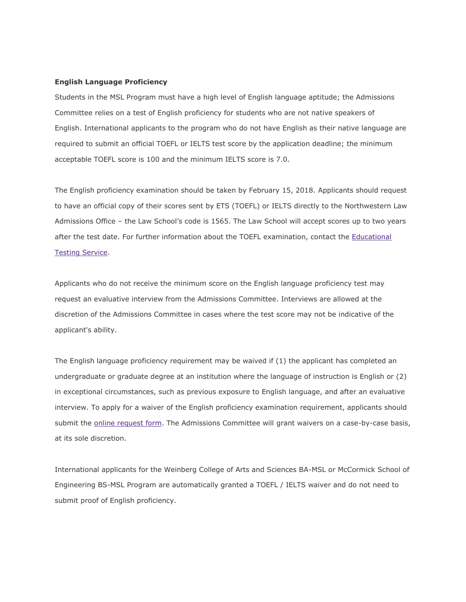#### **English Language Proficiency**

Students in the MSL Program must have a high level of English language aptitude; the Admissions Committee relies on a test of English proficiency for students who are not native speakers of English. International applicants to the program who do not have English as their native language are required to submit an official TOEFL or IELTS test score by the application deadline; the minimum acceptable TOEFL score is 100 and the minimum IELTS score is 7.0.

The English proficiency examination should be taken by February 15, 2018. Applicants should request to have an official copy of their scores sent by ETS (TOEFL) or IELTS directly to the Northwestern Law Admissions Office – the Law School's code is 1565. The Law School will accept scores up to two years after the test date. For further information about the TOEFL examination, contact the [Educational](https://www.ets.org/toefl/contact/region1)  [Testing Service.](https://www.ets.org/toefl/contact/region1)

Applicants who do not receive the minimum score on the English language proficiency test may request an evaluative interview from the Admissions Committee. Interviews are allowed at the discretion of the Admissions Committee in cases where the test score may not be indicative of the applicant's ability.

The English language proficiency requirement may be waived if (1) the applicant has completed an undergraduate or graduate degree at an institution where the language of instruction is English or (2) in exceptional circumstances, such as previous exposure to English language, and after an evaluative interview. To apply for a waiver of the English proficiency examination requirement, applicants should submit the [online request form.](https://apply.law.northwestern.edu/register/MSLlanguagewaiver) The Admissions Committee will grant waivers on a case-by-case basis, at its sole discretion.

International applicants for the Weinberg College of Arts and Sciences BA-MSL or McCormick School of Engineering BS-MSL Program are automatically granted a TOEFL / IELTS waiver and do not need to submit proof of English proficiency.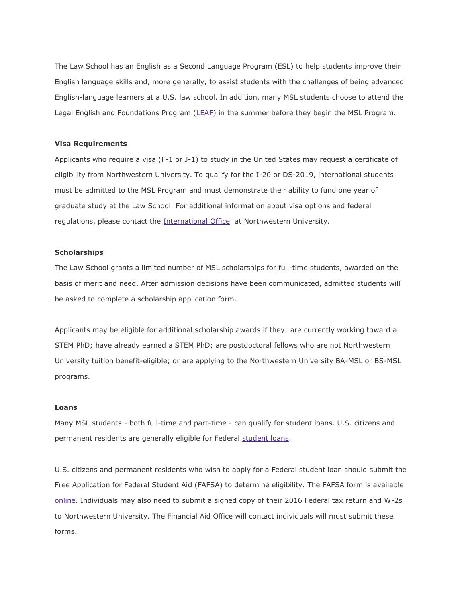The Law School has an English as a Second Language Program (ESL) to help students improve their English language skills and, more generally, to assist students with the challenges of being advanced English-language learners at a U.S. law school. In addition, many MSL students choose to attend the Legal English and Foundations Program [\(LEAF\)](http://www.law.northwestern.edu/law-school-life/studentservices/intlprograms/legalenglish/) in the summer before they begin the MSL Program.

#### **Visa Requirements**

Applicants who require a visa (F-1 or J-1) to study in the United States may request a certificate of eligibility from Northwestern University. To qualify for the I-20 or DS-2019, international students must be admitted to the MSL Program and must demonstrate their ability to fund one year of graduate study at the Law School. For additional information about visa options and federal regulations, please contact the [International Office](http://www.northwestern.edu/international/) at Northwestern University.

## **Scholarships**

The Law School grants a limited number of MSL scholarships for full-time students, awarded on the basis of merit and need. After admission decisions have been communicated, admitted students will be asked to complete a scholarship application form.

Applicants may be eligible for additional scholarship awards if they: are currently working toward a STEM PhD; have already earned a STEM PhD; are postdoctoral fellows who are not Northwestern University tuition benefit-eligible; or are applying to the Northwestern University BA-MSL or BS-MSL programs.

## **Loans**

Many MSL students - both full-time and part-time - can qualify for student loans. U.S. citizens and permanent residents are generally eligible for Federal [student loans.](http://www.law.northwestern.edu/admissions/tuitionaid/aid/)

U.S. citizens and permanent residents who wish to apply for a Federal student loan should submit the Free Application for Federal Student Aid (FAFSA) to determine eligibility. The FAFSA form is available [online.](http://www.fafsa.ed.gov/) Individuals may also need to submit a signed copy of their 2016 Federal tax return and W-2s to Northwestern University. The Financial Aid Office will contact individuals will must submit these forms.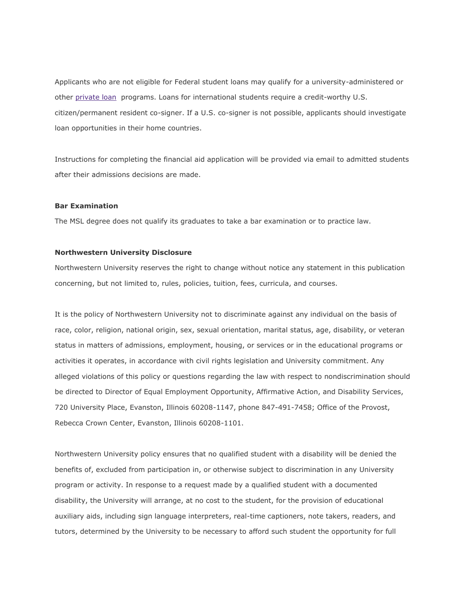Applicants who are not eligible for Federal student loans may qualify for a university-administered or other [private loan](http://www.northwestern.edu/sfs/loan_instruc_info/private_loans.html) programs. Loans for international students require a credit-worthy U.S. citizen/permanent resident co-signer. If a U.S. co-signer is not possible, applicants should investigate loan opportunities in their home countries.

Instructions for completing the financial aid application will be provided via email to admitted students after their admissions decisions are made.

#### **Bar Examination**

The MSL degree does not qualify its graduates to take a bar examination or to practice law.

#### **Northwestern University Disclosure**

Northwestern University reserves the right to change without notice any statement in this publication concerning, but not limited to, rules, policies, tuition, fees, curricula, and courses.

It is the policy of Northwestern University not to discriminate against any individual on the basis of race, color, religion, national origin, sex, sexual orientation, marital status, age, disability, or veteran status in matters of admissions, employment, housing, or services or in the educational programs or activities it operates, in accordance with civil rights legislation and University commitment. Any alleged violations of this policy or questions regarding the law with respect to nondiscrimination should be directed to Director of Equal Employment Opportunity, Affirmative Action, and Disability Services, 720 University Place, Evanston, Illinois 60208-1147, phone 847-491-7458; Office of the Provost, Rebecca Crown Center, Evanston, Illinois 60208-1101.

Northwestern University policy ensures that no qualified student with a disability will be denied the benefits of, excluded from participation in, or otherwise subject to discrimination in any University program or activity. In response to a request made by a qualified student with a documented disability, the University will arrange, at no cost to the student, for the provision of educational auxiliary aids, including sign language interpreters, real-time captioners, note takers, readers, and tutors, determined by the University to be necessary to afford such student the opportunity for full